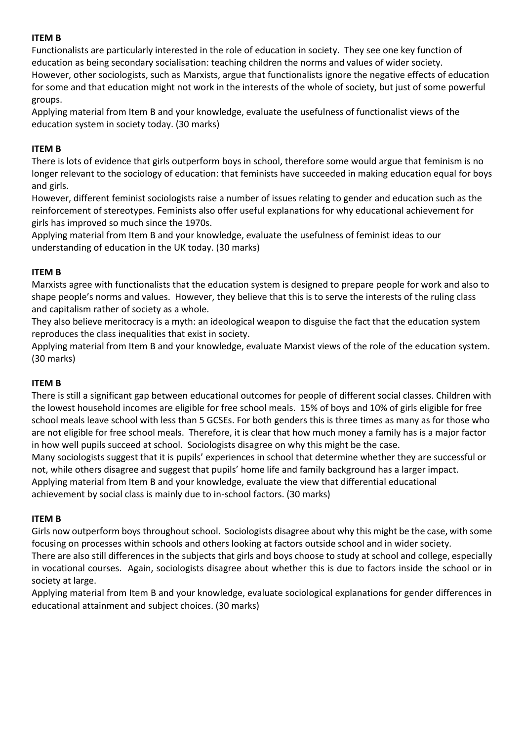Functionalists are particularly interested in the role of education in society. They see one key function of education as being secondary socialisation: teaching children the norms and values of wider society. However, other sociologists, such as Marxists, argue that functionalists ignore the negative effects of education for some and that education might not work in the interests of the whole of society, but just of some powerful groups.

Applying material from Item B and your knowledge, evaluate the usefulness of functionalist views of the education system in society today. (30 marks)

## **ITEM B**

There is lots of evidence that girls outperform boys in school, therefore some would argue that feminism is no longer relevant to the sociology of education: that feminists have succeeded in making education equal for boys and girls.

However, different feminist sociologists raise a number of issues relating to gender and education such as the reinforcement of stereotypes. Feminists also offer useful explanations for why educational achievement for girls has improved so much since the 1970s.

Applying material from Item B and your knowledge, evaluate the usefulness of feminist ideas to our understanding of education in the UK today. (30 marks)

## **ITEM B**

Marxists agree with functionalists that the education system is designed to prepare people for work and also to shape people's norms and values. However, they believe that this is to serve the interests of the ruling class and capitalism rather of society as a whole.

They also believe meritocracy is a myth: an ideological weapon to disguise the fact that the education system reproduces the class inequalities that exist in society.

Applying material from Item B and your knowledge, evaluate Marxist views of the role of the education system. (30 marks)

#### **ITEM B**

There is still a significant gap between educational outcomes for people of different social classes. Children with the lowest household incomes are eligible for free school meals. 15% of boys and 10% of girls eligible for free school meals leave school with less than 5 GCSEs. For both genders this is three times as many as for those who are not eligible for free school meals. Therefore, it is clear that how much money a family has is a major factor in how well pupils succeed at school. Sociologists disagree on why this might be the case.

Many sociologists suggest that it is pupils' experiences in school that determine whether they are successful or not, while others disagree and suggest that pupils' home life and family background has a larger impact.

Applying material from Item B and your knowledge, evaluate the view that differential educational achievement by social class is mainly due to in-school factors. (30 marks)

#### **ITEM B**

Girls now outperform boys throughout school. Sociologists disagree about why this might be the case, with some focusing on processes within schools and others looking at factors outside school and in wider society.

There are also still differences in the subjects that girls and boys choose to study at school and college, especially in vocational courses. Again, sociologists disagree about whether this is due to factors inside the school or in society at large.

Applying material from Item B and your knowledge, evaluate sociological explanations for gender differences in educational attainment and subject choices. (30 marks)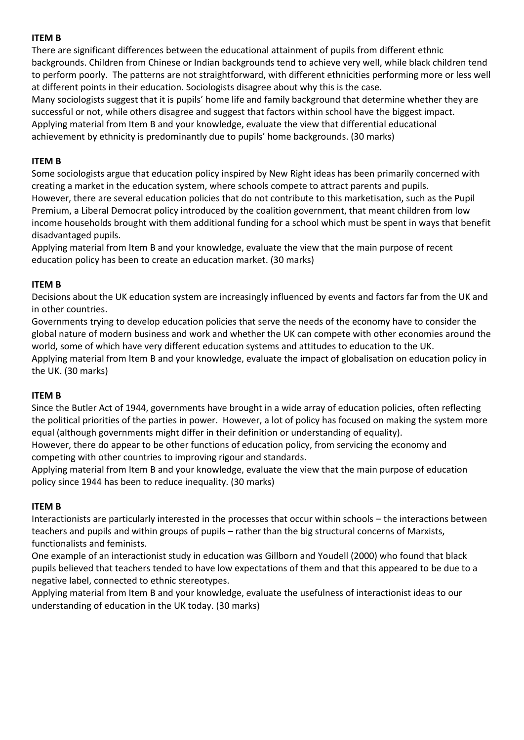There are significant differences between the educational attainment of pupils from different ethnic backgrounds. Children from Chinese or Indian backgrounds tend to achieve very well, while black children tend to perform poorly. The patterns are not straightforward, with different ethnicities performing more or less well at different points in their education. Sociologists disagree about why this is the case.

Many sociologists suggest that it is pupils' home life and family background that determine whether they are successful or not, while others disagree and suggest that factors within school have the biggest impact. Applying material from Item B and your knowledge, evaluate the view that differential educational achievement by ethnicity is predominantly due to pupils' home backgrounds. (30 marks)

# **ITEM B**

Some sociologists argue that education policy inspired by New Right ideas has been primarily concerned with creating a market in the education system, where schools compete to attract parents and pupils. However, there are several education policies that do not contribute to this marketisation, such as the Pupil Premium, a Liberal Democrat policy introduced by the coalition government, that meant children from low income households brought with them additional funding for a school which must be spent in ways that benefit disadvantaged pupils.

Applying material from Item B and your knowledge, evaluate the view that the main purpose of recent education policy has been to create an education market. (30 marks)

# **ITEM B**

Decisions about the UK education system are increasingly influenced by events and factors far from the UK and in other countries.

Governments trying to develop education policies that serve the needs of the economy have to consider the global nature of modern business and work and whether the UK can compete with other economies around the world, some of which have very different education systems and attitudes to education to the UK.

Applying material from Item B and your knowledge, evaluate the impact of globalisation on education policy in the UK. (30 marks)

#### **ITEM B**

Since the Butler Act of 1944, governments have brought in a wide array of education policies, often reflecting the political priorities of the parties in power. However, a lot of policy has focused on making the system more equal (although governments might differ in their definition or understanding of equality).

However, there do appear to be other functions of education policy, from servicing the economy and competing with other countries to improving rigour and standards.

Applying material from Item B and your knowledge, evaluate the view that the main purpose of education policy since 1944 has been to reduce inequality. (30 marks)

#### **ITEM B**

Interactionists are particularly interested in the processes that occur within schools – the interactions between teachers and pupils and within groups of pupils – rather than the big structural concerns of Marxists, functionalists and feminists.

One example of an interactionist study in education was Gillborn and Youdell (2000) who found that black pupils believed that teachers tended to have low expectations of them and that this appeared to be due to a negative label, connected to ethnic stereotypes.

Applying material from Item B and your knowledge, evaluate the usefulness of interactionist ideas to our understanding of education in the UK today. (30 marks)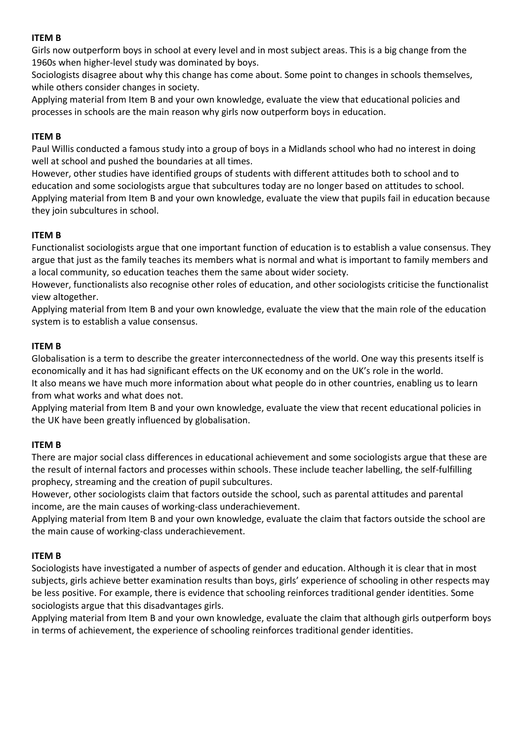Girls now outperform boys in school at every level and in most subject areas. This is a big change from the 1960s when higher-level study was dominated by boys.

Sociologists disagree about why this change has come about. Some point to changes in schools themselves, while others consider changes in society.

Applying material from Item B and your own knowledge, evaluate the view that educational policies and processes in schools are the main reason why girls now outperform boys in education.

## **ITEM B**

Paul Willis conducted a famous study into a group of boys in a Midlands school who had no interest in doing well at school and pushed the boundaries at all times.

However, other studies have identified groups of students with different attitudes both to school and to education and some sociologists argue that subcultures today are no longer based on attitudes to school. Applying material from Item B and your own knowledge, evaluate the view that pupils fail in education because they join subcultures in school.

## **ITEM B**

Functionalist sociologists argue that one important function of education is to establish a value consensus. They argue that just as the family teaches its members what is normal and what is important to family members and a local community, so education teaches them the same about wider society.

However, functionalists also recognise other roles of education, and other sociologists criticise the functionalist view altogether.

Applying material from Item B and your own knowledge, evaluate the view that the main role of the education system is to establish a value consensus.

## **ITEM B**

Globalisation is a term to describe the greater interconnectedness of the world. One way this presents itself is economically and it has had significant effects on the UK economy and on the UK's role in the world.

It also means we have much more information about what people do in other countries, enabling us to learn from what works and what does not.

Applying material from Item B and your own knowledge, evaluate the view that recent educational policies in the UK have been greatly influenced by globalisation.

#### **ITEM B**

There are major social class differences in educational achievement and some sociologists argue that these are the result of internal factors and processes within schools. These include teacher labelling, the self-fulfilling prophecy, streaming and the creation of pupil subcultures.

However, other sociologists claim that factors outside the school, such as parental attitudes and parental income, are the main causes of working-class underachievement.

Applying material from Item B and your own knowledge, evaluate the claim that factors outside the school are the main cause of working-class underachievement.

#### **ITEM B**

Sociologists have investigated a number of aspects of gender and education. Although it is clear that in most subjects, girls achieve better examination results than boys, girls' experience of schooling in other respects may be less positive. For example, there is evidence that schooling reinforces traditional gender identities. Some sociologists argue that this disadvantages girls.

Applying material from Item B and your own knowledge, evaluate the claim that although girls outperform boys in terms of achievement, the experience of schooling reinforces traditional gender identities.